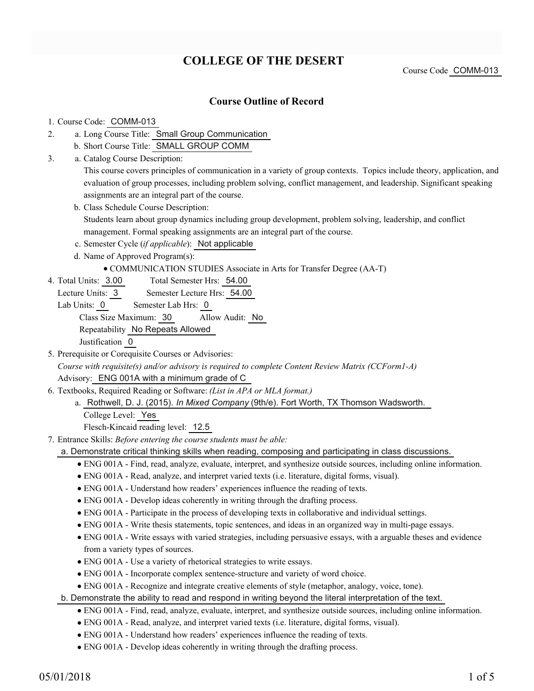# **COLLEGE OF THE DESERT**

Course Code COMM-013

### **Course Outline of Record**

### 1. Course Code: COMM-013

- a. Long Course Title: Small Group Communication 2.
	- b. Short Course Title: SMALL GROUP COMM
- Catalog Course Description: a. 3.

This course covers principles of communication in a variety of group contexts. Topics include theory, application, and evaluation of group processes, including problem solving, conflict management, and leadership. Significant speaking assignments are an integral part of the course.

b. Class Schedule Course Description:

Students learn about group dynamics including group development, problem solving, leadership, and conflict management. Formal speaking assignments are an integral part of the course.

- c. Semester Cycle (*if applicable*): Not applicable
- d. Name of Approved Program(s):

### COMMUNICATION STUDIES Associate in Arts for Transfer Degree (AA-T)

- Total Semester Hrs: 54.00 4. Total Units: 3.00
	- Lecture Units: 3 Semester Lecture Hrs: 54.00
	- Lab Units: 0 Semester Lab Hrs: 0

Class Size Maximum: 30 Allow Audit: No

Repeatability No Repeats Allowed

Justification 0

- 5. Prerequisite or Corequisite Courses or Advisories: *Course with requisite(s) and/or advisory is required to complete Content Review Matrix (CCForm1-A)* Advisory: ENG 001A with a minimum grade of C
- Textbooks, Required Reading or Software: *(List in APA or MLA format.)* 6.
	- a. Rothwell, D. J. (2015). *In Mixed Company* (9th/e). Fort Worth, TX Thomson Wadsworth. College Level: Yes

Flesch-Kincaid reading level: 12.5

- Entrance Skills: *Before entering the course students must be able:* 7.
	- a. Demonstrate critical thinking skills when reading, composing and participating in class discussions.
		- ENG 001A Find, read, analyze, evaluate, interpret, and synthesize outside sources, including online information.
		- ENG 001A Read, analyze, and interpret varied texts (i.e. literature, digital forms, visual).
		- ENG 001A Understand how readers' experiences influence the reading of texts.
		- ENG 001A Develop ideas coherently in writing through the drafting process.
		- ENG 001A Participate in the process of developing texts in collaborative and individual settings.
		- ENG 001A Write thesis statements, topic sentences, and ideas in an organized way in multi-page essays.
		- ENG 001A Write essays with varied strategies, including persuasive essays, with a arguable theses and evidence from a variety types of sources.
		- ENG 001A Use a variety of rhetorical strategies to write essays.
		- ENG 001A Incorporate complex sentence-structure and variety of word choice.
		- ENG 001A Recognize and integrate creative elements of style (metaphor, analogy, voice, tone).
	- b. Demonstrate the ability to read and respond in writing beyond the literal interpretation of the text.
		- ENG 001A Find, read, analyze, evaluate, interpret, and synthesize outside sources, including online information.
		- ENG 001A Read, analyze, and interpret varied texts (i.e. literature, digital forms, visual).
		- ENG 001A Understand how readers' experiences influence the reading of texts.
		- ENG 001A Develop ideas coherently in writing through the drafting process.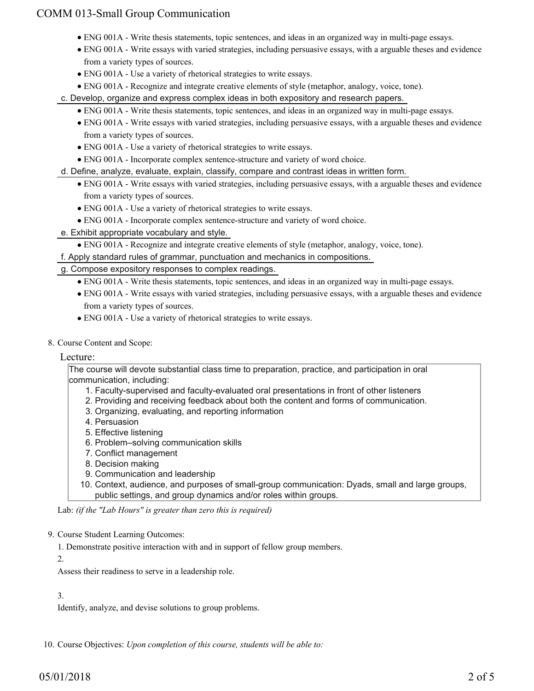## COMM 013-Small Group Communication

- ENG 001A Write thesis statements, topic sentences, and ideas in an organized way in multi-page essays.
- ENG 001A Write essays with varied strategies, including persuasive essays, with a arguable theses and evidence from a variety types of sources.
- ENG 001A Use a variety of rhetorical strategies to write essays.
- ENG 001A Recognize and integrate creative elements of style (metaphor, analogy, voice, tone).

c. Develop, organize and express complex ideas in both expository and research papers.

- ENG 001A Write thesis statements, topic sentences, and ideas in an organized way in multi-page essays.
- ENG 001A Write essays with varied strategies, including persuasive essays, with a arguable theses and evidence from a variety types of sources.
- ENG 001A Use a variety of rhetorical strategies to write essays.
- ENG 001A Incorporate complex sentence-structure and variety of word choice.
- d. Define, analyze, evaluate, explain, classify, compare and contrast ideas in written form.
	- ENG 001A Write essays with varied strategies, including persuasive essays, with a arguable theses and evidence from a variety types of sources.
	- ENG 001A Use a variety of rhetorical strategies to write essays.
	- ENG 001A Incorporate complex sentence-structure and variety of word choice.
- e. Exhibit appropriate vocabulary and style.
	- ENG 001A Recognize and integrate creative elements of style (metaphor, analogy, voice, tone).

f. Apply standard rules of grammar, punctuation and mechanics in compositions.

- g. Compose expository responses to complex readings.
	- ENG 001A Write thesis statements, topic sentences, and ideas in an organized way in multi-page essays.
	- ENG 001A Write essays with varied strategies, including persuasive essays, with a arguable theses and evidence from a variety types of sources.
	- ENG 001A Use a variety of rhetorical strategies to write essays.
- 8. Course Content and Scope:

#### Lecture:

The course will devote substantial class time to preparation, practice, and participation in oral communication, including:

- 1. Faculty-supervised and faculty-evaluated oral presentations in front of other listeners
- 2. Providing and receiving feedback about both the content and forms of communication.
- 3. Organizing, evaluating, and reporting information
- 4. Persuasion
- 5. Effective listening
- 6. Problem–solving communication skills
- 7. Conflict management
- 8. Decision making
- 9. Communication and leadership
- 10. Context, audience, and purposes of small-group communication: Dyads, small and large groups, public settings, and group dynamics and/or roles within groups.

Lab: *(if the "Lab Hours" is greater than zero this is required)*

#### 9. Course Student Learning Outcomes:

- 1. Demonstrate positive interaction with and in support of fellow group members.
- 2.

Assess their readiness to serve in a leadership role.

#### 3.

Identify, analyze, and devise solutions to group problems.

10. Course Objectives: Upon completion of this course, students will be able to: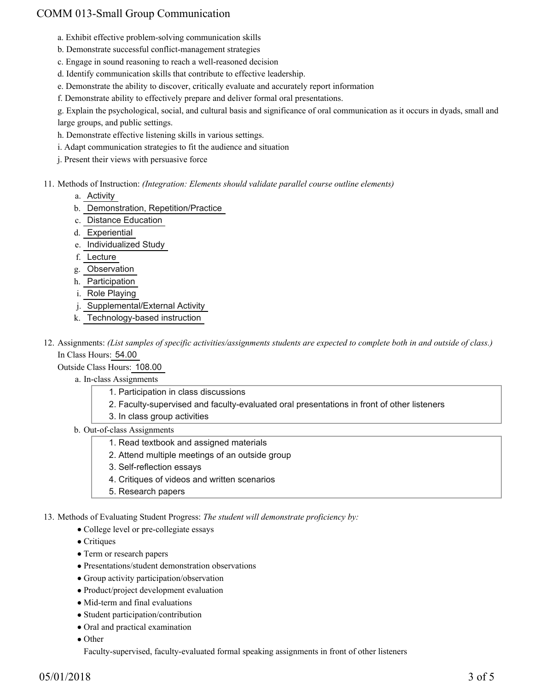# COMM 013-Small Group Communication

- a. Exhibit effective problem-solving communication skills
- b. Demonstrate successful conflict-management strategies
- c. Engage in sound reasoning to reach a well-reasoned decision
- d. Identify communication skills that contribute to effective leadership.
- e. Demonstrate the ability to discover, critically evaluate and accurately report information
- f. Demonstrate ability to effectively prepare and deliver formal oral presentations.

g. Explain the psychological, social, and cultural basis and significance of oral communication as it occurs in dyads, small and large groups, and public settings.

- h. Demonstrate effective listening skills in various settings.
- i. Adapt communication strategies to fit the audience and situation
- j. Present their views with persuasive force
- 11. Methods of Instruction: *(Integration: Elements should validate parallel course outline elements)* 
	- a. Activity
	- b. Demonstration, Repetition/Practice
	- c. Distance Education
	- d. Experiential
	- e. Individualized Study
	- f. Lecture
	- g. Observation
	- h. Participation
	- i. Role Playing
	- j. Supplemental/External Activity
	- k. Technology-based instruction

12. Assignments: (List samples of specific activities/assignments students are expected to complete both in and outside of class.) In Class Hours: 54.00

Outside Class Hours: 108.00

- a. In-class Assignments
	- 1. Participation in class discussions
	- 2. Faculty-supervised and faculty-evaluated oral presentations in front of other listeners
	- 3. In class group activities
- b. Out-of-class Assignments
	- 1. Read textbook and assigned materials
	- 2. Attend multiple meetings of an outside group
	- 3. Self-reflection essays
	- 4. Critiques of videos and written scenarios
	- 5. Research papers

13. Methods of Evaluating Student Progress: The student will demonstrate proficiency by:

- College level or pre-collegiate essays
- Critiques
- Term or research papers
- Presentations/student demonstration observations
- Group activity participation/observation
- Product/project development evaluation
- Mid-term and final evaluations
- Student participation/contribution
- Oral and practical examination
- Other

Faculty-supervised, faculty-evaluated formal speaking assignments in front of other listeners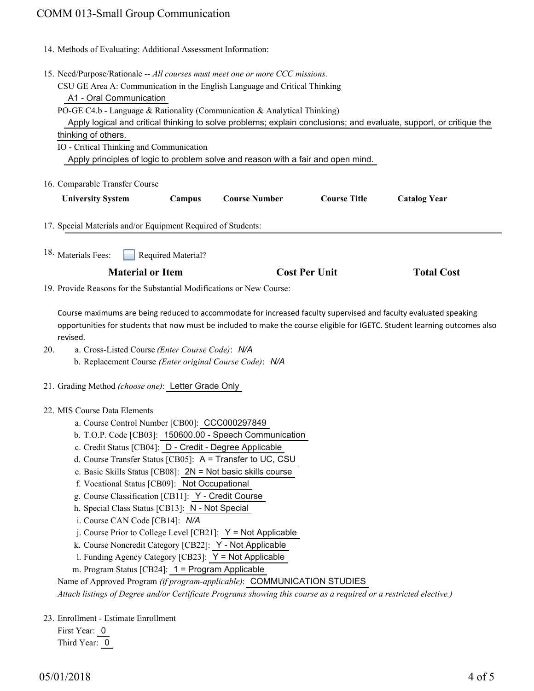### COMM 013-Small Group Communication

| 14. Methods of Evaluating: Additional Assessment Information: |  |
|---------------------------------------------------------------|--|
|---------------------------------------------------------------|--|

- 15. Need/Purpose/Rationale -- All courses must meet one or more CCC missions.
	- CSU GE Area A: Communication in the English Language and Critical Thinking

A1 - Oral Communication

PO-GE C4.b - Language & Rationality (Communication & Analytical Thinking) Apply logical and critical thinking to solve problems; explain conclusions; and evaluate, support, or critique the

| thinking of others. |  |  |  |  |  |
|---------------------|--|--|--|--|--|
|                     |  |  |  |  |  |

IO - Critical Thinking and Communication

Apply principles of logic to problem solve and reason with a fair and open mind.

16. Comparable Transfer Course

| <b>University System</b><br><b>Course Number</b><br><b>Course Title</b><br>Campus | <b>Catalog Year</b> |
|-----------------------------------------------------------------------------------|---------------------|
|-----------------------------------------------------------------------------------|---------------------|

- 17. Special Materials and/or Equipment Required of Students:
- Required Material? <sup>18.</sup> Materials Fees:

| <b>Material or Item</b> | <b>Cost Per Unit</b> | <b>Total Cost</b> |
|-------------------------|----------------------|-------------------|
|                         |                      |                   |

19. Provide Reasons for the Substantial Modifications or New Course:

Course maximums are being reduced to accommodate for increased faculty supervised and faculty evaluated speaking opportunities for students that now must be included to make the course eligible for IGETC. Student learning outcomes also revised.

- a. Cross-Listed Course *(Enter Course Code)*: *N/A* b. Replacement Course *(Enter original Course Code)*: *N/A* 20.
- 21. Grading Method *(choose one)*: Letter Grade Only
- MIS Course Data Elements 22.
	- a. Course Control Number [CB00]: CCC000297849
	- b. T.O.P. Code [CB03]: 150600.00 Speech Communication
	- c. Credit Status [CB04]: D Credit Degree Applicable
	- d. Course Transfer Status [CB05]: A = Transfer to UC, CSU
	- e. Basic Skills Status [CB08]: 2N = Not basic skills course
	- f. Vocational Status [CB09]: Not Occupational
	- g. Course Classification [CB11]: Y Credit Course
	- h. Special Class Status [CB13]: N Not Special
	- i. Course CAN Code [CB14]: *N/A*
	- j. Course Prior to College Level [CB21]: Y = Not Applicable
	- k. Course Noncredit Category [CB22]: Y Not Applicable
	- l. Funding Agency Category [CB23]: Y = Not Applicable
	- m. Program Status [CB24]: 1 = Program Applicable
	- Name of Approved Program *(if program-applicable)*: COMMUNICATION STUDIES

*Attach listings of Degree and/or Certificate Programs showing this course as a required or a restricted elective.)*

23. Enrollment - Estimate Enrollment

First Year: 0 Third Year: 0